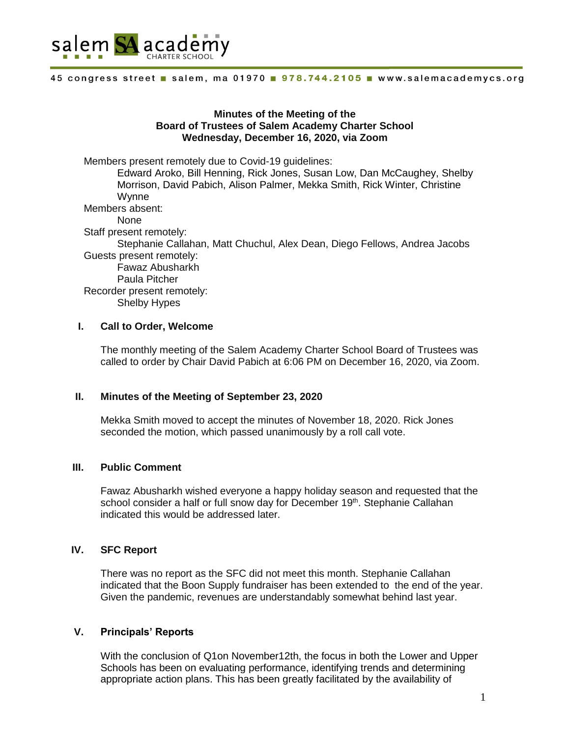

## **Minutes of the Meeting of the Board of Trustees of Salem Academy Charter School Wednesday, December 16, 2020, via Zoom**

Members present remotely due to Covid-19 guidelines: Edward Aroko, Bill Henning, Rick Jones, Susan Low, Dan McCaughey, Shelby Morrison, David Pabich, Alison Palmer, Mekka Smith, Rick Winter, Christine Wynne Members absent: None Staff present remotely: Stephanie Callahan, Matt Chuchul, Alex Dean, Diego Fellows, Andrea Jacobs Guests present remotely: Fawaz Abusharkh Paula Pitcher

Recorder present remotely: Shelby Hypes

# **I. Call to Order, Welcome**

The monthly meeting of the Salem Academy Charter School Board of Trustees was called to order by Chair David Pabich at 6:06 PM on December 16, 2020, via Zoom.

### **II. Minutes of the Meeting of September 23, 2020**

Mekka Smith moved to accept the minutes of November 18, 2020. Rick Jones seconded the motion, which passed unanimously by a roll call vote.

### **III. Public Comment**

Fawaz Abusharkh wished everyone a happy holiday season and requested that the school consider a half or full snow day for December 19th. Stephanie Callahan indicated this would be addressed later.

# **IV. SFC Report**

There was no report as the SFC did not meet this month. Stephanie Callahan indicated that the Boon Supply fundraiser has been extended to the end of the year. Given the pandemic, revenues are understandably somewhat behind last year.

### **V. Principals' Reports**

With the conclusion of Q1on November12th, the focus in both the Lower and Upper Schools has been on evaluating performance, identifying trends and determining appropriate action plans. This has been greatly facilitated by the availability of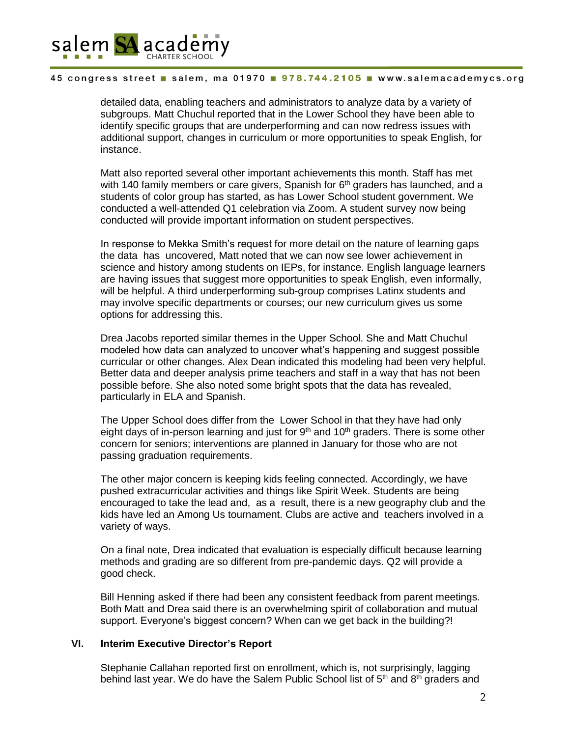

detailed data, enabling teachers and administrators to analyze data by a variety of subgroups. Matt Chuchul reported that in the Lower School they have been able to identify specific groups that are underperforming and can now redress issues with additional support, changes in curriculum or more opportunities to speak English, for instance.

Matt also reported several other important achievements this month. Staff has met with 140 family members or care givers, Spanish for  $6<sup>th</sup>$  graders has launched, and a students of color group has started, as has Lower School student government. We conducted a well-attended Q1 celebration via Zoom. A student survey now being conducted will provide important information on student perspectives.

In response to Mekka Smith's request for more detail on the nature of learning gaps the data has uncovered, Matt noted that we can now see lower achievement in science and history among students on IEPs, for instance. English language learners are having issues that suggest more opportunities to speak English, even informally, will be helpful. A third underperforming sub-group comprises Latinx students and may involve specific departments or courses; our new curriculum gives us some options for addressing this.

Drea Jacobs reported similar themes in the Upper School. She and Matt Chuchul modeled how data can analyzed to uncover what's happening and suggest possible curricular or other changes. Alex Dean indicated this modeling had been very helpful. Better data and deeper analysis prime teachers and staff in a way that has not been possible before. She also noted some bright spots that the data has revealed, particularly in ELA and Spanish.

The Upper School does differ from the Lower School in that they have had only eight days of in-person learning and just for  $9<sup>th</sup>$  and  $10<sup>th</sup>$  graders. There is some other concern for seniors; interventions are planned in January for those who are not passing graduation requirements.

The other major concern is keeping kids feeling connected. Accordingly, we have pushed extracurricular activities and things like Spirit Week. Students are being encouraged to take the lead and, as a result, there is a new geography club and the kids have led an Among Us tournament. Clubs are active and teachers involved in a variety of ways.

On a final note, Drea indicated that evaluation is especially difficult because learning methods and grading are so different from pre-pandemic days. Q2 will provide a good check.

Bill Henning asked if there had been any consistent feedback from parent meetings. Both Matt and Drea said there is an overwhelming spirit of collaboration and mutual support. Everyone's biggest concern? When can we get back in the building?!

#### **VI. Interim Executive Director's Report**

Stephanie Callahan reported first on enrollment, which is, not surprisingly, lagging behind last year. We do have the Salem Public School list of 5<sup>th</sup> and 8<sup>th</sup> graders and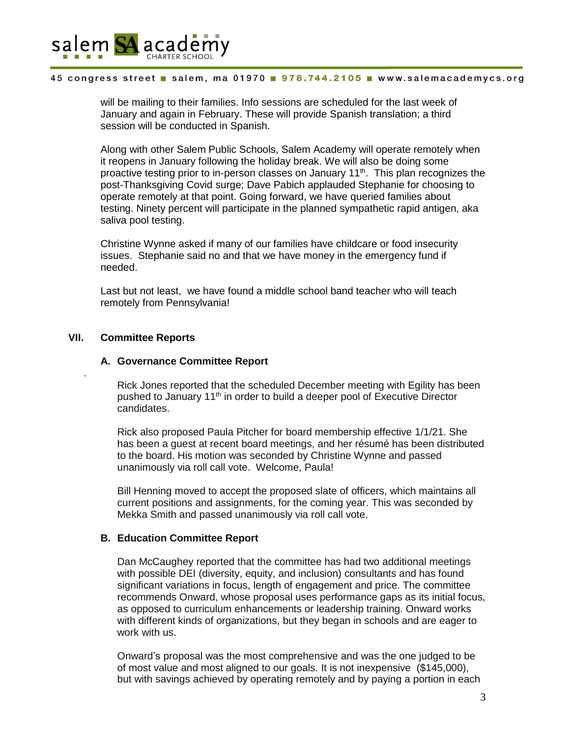

will be mailing to their families. Info sessions are scheduled for the last week of January and again in February. These will provide Spanish translation; a third session will be conducted in Spanish.

Along with other Salem Public Schools, Salem Academy will operate remotely when it reopens in January following the holiday break. We will also be doing some proactive testing prior to in-person classes on January 11<sup>th</sup>. This plan recognizes the post-Thanksgiving Covid surge; Dave Pabich applauded Stephanie for choosing to operate remotely at that point. Going forward, we have queried families about testing. Ninety percent will participate in the planned sympathetic rapid antigen, aka saliva pool testing.

Christine Wynne asked if many of our families have childcare or food insecurity issues. Stephanie said no and that we have money in the emergency fund if needed.

Last but not least, we have found a middle school band teacher who will teach remotely from Pennsylvania!

# **VII. Committee Reports**

.

#### **A. Governance Committee Report**

Rick Jones reported that the scheduled December meeting with Egility has been pushed to January 11<sup>th</sup> in order to build a deeper pool of Executive Director candidates.

Rick also proposed Paula Pitcher for board membership effective 1/1/21. She has been a guest at recent board meetings, and her résumé has been distributed to the board. His motion was seconded by Christine Wynne and passed unanimously via roll call vote. Welcome, Paula!

Bill Henning moved to accept the proposed slate of officers, which maintains all current positions and assignments, for the coming year. This was seconded by Mekka Smith and passed unanimously via roll call vote.

### **B. Education Committee Report**

Dan McCaughey reported that the committee has had two additional meetings with possible DEI (diversity, equity, and inclusion) consultants and has found significant variations in focus, length of engagement and price. The committee recommends Onward, whose proposal uses performance gaps as its initial focus, as opposed to curriculum enhancements or leadership training. Onward works with different kinds of organizations, but they began in schools and are eager to work with us.

Onward's proposal was the most comprehensive and was the one judged to be of most value and most aligned to our goals. It is not inexpensive (\$145,000), but with savings achieved by operating remotely and by paying a portion in each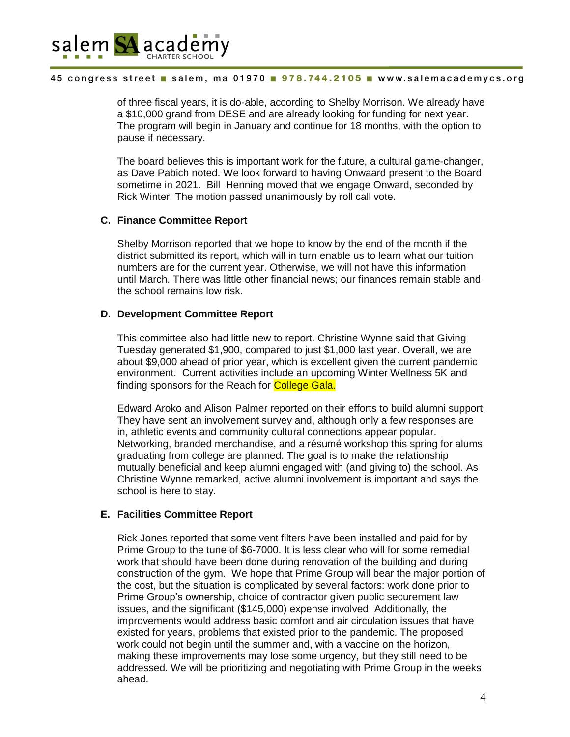

of three fiscal years, it is do-able, according to Shelby Morrison. We already have a \$10,000 grand from DESE and are already looking for funding for next year. The program will begin in January and continue for 18 months, with the option to pause if necessary.

The board believes this is important work for the future, a cultural game-changer, as Dave Pabich noted. We look forward to having Onwaard present to the Board sometime in 2021. Bill Henning moved that we engage Onward, seconded by Rick Winter. The motion passed unanimously by roll call vote.

# **C. Finance Committee Report**

Shelby Morrison reported that we hope to know by the end of the month if the district submitted its report, which will in turn enable us to learn what our tuition numbers are for the current year. Otherwise, we will not have this information until March. There was little other financial news; our finances remain stable and the school remains low risk.

# **D. Development Committee Report**

This committee also had little new to report. Christine Wynne said that Giving Tuesday generated \$1,900, compared to just \$1,000 last year. Overall, we are about \$9,000 ahead of prior year, which is excellent given the current pandemic environment. Current activities include an upcoming Winter Wellness 5K and finding sponsors for the Reach for **College Gala.** 

Edward Aroko and Alison Palmer reported on their efforts to build alumni support. They have sent an involvement survey and, although only a few responses are in, athletic events and community cultural connections appear popular. Networking, branded merchandise, and a résumé workshop this spring for alums graduating from college are planned. The goal is to make the relationship mutually beneficial and keep alumni engaged with (and giving to) the school. As Christine Wynne remarked, active alumni involvement is important and says the school is here to stay.

# **E. Facilities Committee Report**

Rick Jones reported that some vent filters have been installed and paid for by Prime Group to the tune of \$6-7000. It is less clear who will for some remedial work that should have been done during renovation of the building and during construction of the gym. We hope that Prime Group will bear the major portion of the cost, but the situation is complicated by several factors: work done prior to Prime Group's ownership, choice of contractor given public securement law issues, and the significant (\$145,000) expense involved. Additionally, the improvements would address basic comfort and air circulation issues that have existed for years, problems that existed prior to the pandemic. The proposed work could not begin until the summer and, with a vaccine on the horizon, making these improvements may lose some urgency, but they still need to be addressed. We will be prioritizing and negotiating with Prime Group in the weeks ahead.